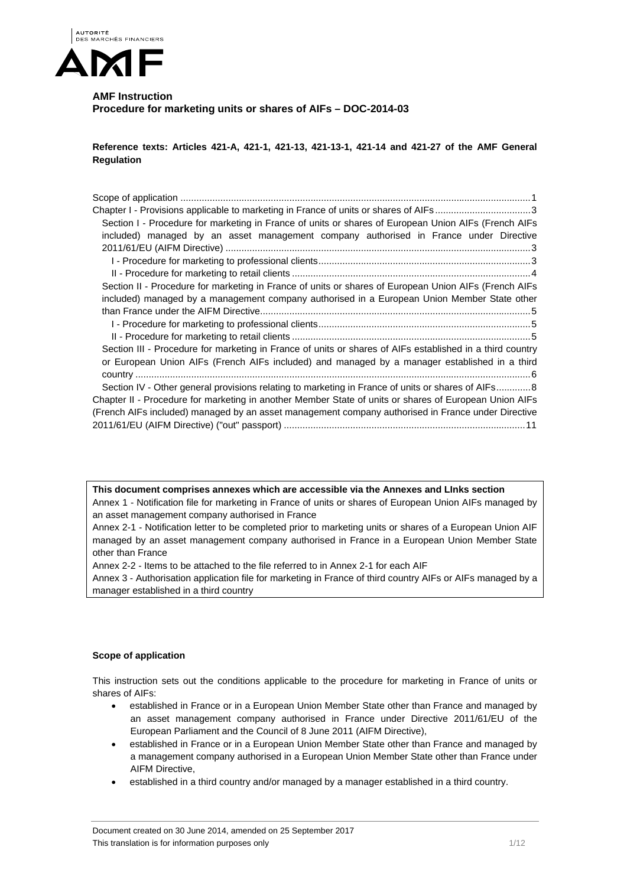

# **AMF Instruction Procedure for marketing units or shares of AIFs – DOC-2014-03**

**Reference texts: Articles 421-A, 421-1, 421-13, 421-13-1, 421-14 and 421-27 of the AMF General Regulation** 

| Chapter I - Provisions applicable to marketing in France of units or shares of AIFs3                      |
|-----------------------------------------------------------------------------------------------------------|
| Section I - Procedure for marketing in France of units or shares of European Union AIFs (French AIFs      |
| included) managed by an asset management company authorised in France under Directive                     |
|                                                                                                           |
|                                                                                                           |
|                                                                                                           |
| Section II - Procedure for marketing in France of units or shares of European Union AIFs (French AIFs     |
| included) managed by a management company authorised in a European Union Member State other               |
|                                                                                                           |
|                                                                                                           |
|                                                                                                           |
| Section III - Procedure for marketing in France of units or shares of AIFs established in a third country |
| or European Union AIFs (French AIFs included) and managed by a manager established in a third             |
|                                                                                                           |
| Section IV - Other general provisions relating to marketing in France of units or shares of AIFs8         |
| Chapter II - Procedure for marketing in another Member State of units or shares of European Union AIFs    |
| (French AIFs included) managed by an asset management company authorised in France under Directive        |
|                                                                                                           |
|                                                                                                           |

**This document comprises annexes which are accessible via the Annexes and LInks section**  Annex 1 - Notification file for marketing in France of units or shares of European Union AIFs managed by an asset management company authorised in France

Annex 2-1 - Notification letter to be completed prior to marketing units or shares of a European Union AIF managed by an asset management company authorised in France in a European Union Member State other than France

Annex 2-2 - Items to be attached to the file referred to in Annex 2-1 for each AIF

Annex 3 - Authorisation application file for marketing in France of third country AIFs or AIFs managed by a manager established in a third country

# **Scope of application**

This instruction sets out the conditions applicable to the procedure for marketing in France of units or shares of AIFs:

- established in France or in a European Union Member State other than France and managed by an asset management company authorised in France under Directive 2011/61/EU of the European Parliament and the Council of 8 June 2011 (AIFM Directive),
- established in France or in a European Union Member State other than France and managed by a management company authorised in a European Union Member State other than France under AIFM Directive,
- established in a third country and/or managed by a manager established in a third country.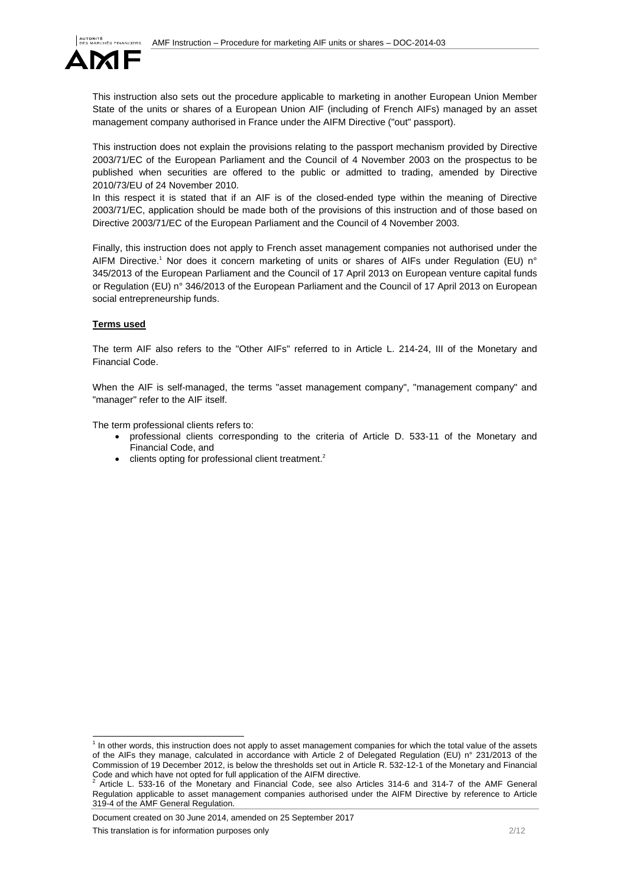

This instruction also sets out the procedure applicable to marketing in another European Union Member State of the units or shares of a European Union AIF (including of French AIFs) managed by an asset management company authorised in France under the AIFM Directive ("out" passport).

This instruction does not explain the provisions relating to the passport mechanism provided by Directive 2003/71/EC of the European Parliament and the Council of 4 November 2003 on the prospectus to be published when securities are offered to the public or admitted to trading, amended by Directive 2010/73/EU of 24 November 2010.

In this respect it is stated that if an AIF is of the closed-ended type within the meaning of Directive 2003/71/EC, application should be made both of the provisions of this instruction and of those based on Directive 2003/71/EC of the European Parliament and the Council of 4 November 2003.

Finally, this instruction does not apply to French asset management companies not authorised under the AIFM Directive.<sup>1</sup> Nor does it concern marketing of units or shares of AIFs under Regulation (EU) n° 345/2013 of the European Parliament and the Council of 17 April 2013 on European venture capital funds or Regulation (EU) n° 346/2013 of the European Parliament and the Council of 17 April 2013 on European social entrepreneurship funds.

## **Terms used**

The term AIF also refers to the "Other AIFs" referred to in Article L. 214-24, III of the Monetary and Financial Code.

When the AIF is self-managed, the terms "asset management company", "management company" and "manager" refer to the AIF itself.

The term professional clients refers to:

- professional clients corresponding to the criteria of Article D. 533-11 of the Monetary and Financial Code, and
- $\bullet$  clients opting for professional client treatment.<sup>2</sup>

Document created on 30 June 2014, amended on 25 September 2017 This translation is for information purposes only the contract of the contract of the contract of the contract of the contract of the contract of the contract of the contract of the contract of the contract of the contract

 1 In other words, this instruction does not apply to asset management companies for which the total value of the assets of the AIFs they manage, calculated in accordance with Article 2 of Delegated Regulation (EU) n° 231/2013 of the Commission of 19 December 2012, is below the thresholds set out in Article R. 532-12-1 of the Monetary and Financial Code and which have not opted for full application of the AIFM directive.<br> $2.0$  tigle 1. 533.46 of the Menatery and Financial Code, see also 0.

Article L. 533-16 of the Monetary and Financial Code, see also Articles 314-6 and 314-7 of the AMF General Regulation applicable to asset management companies authorised under the AIFM Directive by reference to Article 319-4 of the AMF General Regulation.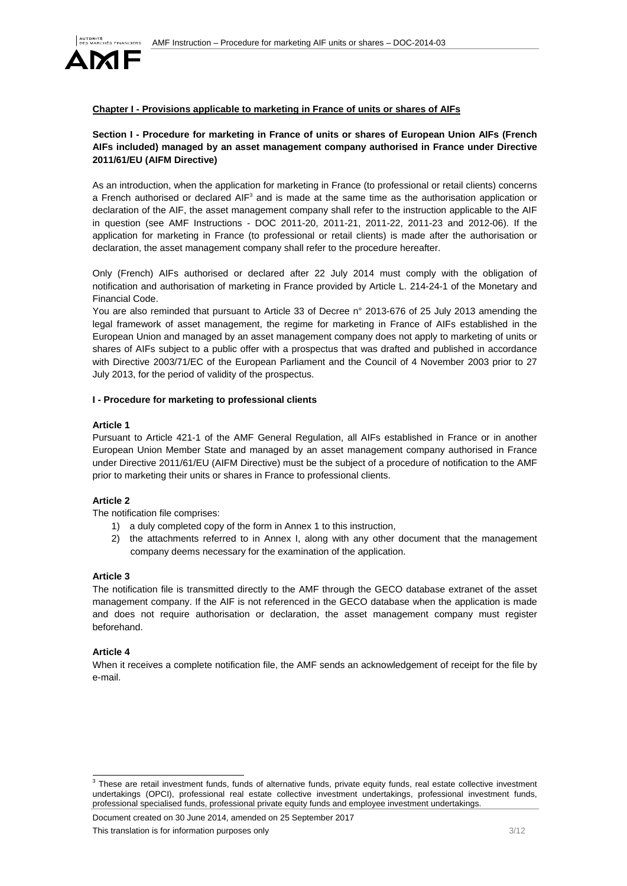

# **Chapter I - Provisions applicable to marketing in France of units or shares of AIFs**

# **Section I - Procedure for marketing in France of units or shares of European Union AIFs (French AIFs included) managed by an asset management company authorised in France under Directive 2011/61/EU (AIFM Directive)**

As an introduction, when the application for marketing in France (to professional or retail clients) concerns a French authorised or declared AIF<sup>3</sup> and is made at the same time as the authorisation application or declaration of the AIF, the asset management company shall refer to the instruction applicable to the AIF in question (see AMF Instructions - DOC 2011-20, 2011-21, 2011-22, 2011-23 and 2012-06). If the application for marketing in France (to professional or retail clients) is made after the authorisation or declaration, the asset management company shall refer to the procedure hereafter.

Only (French) AIFs authorised or declared after 22 July 2014 must comply with the obligation of notification and authorisation of marketing in France provided by Article L. 214-24-1 of the Monetary and Financial Code.

You are also reminded that pursuant to Article 33 of Decree n° 2013-676 of 25 July 2013 amending the legal framework of asset management, the regime for marketing in France of AIFs established in the European Union and managed by an asset management company does not apply to marketing of units or shares of AIFs subject to a public offer with a prospectus that was drafted and published in accordance with Directive 2003/71/EC of the European Parliament and the Council of 4 November 2003 prior to 27 July 2013, for the period of validity of the prospectus.

#### **I - Procedure for marketing to professional clients**

#### **Article 1**

Pursuant to Article 421-1 of the AMF General Regulation, all AIFs established in France or in another European Union Member State and managed by an asset management company authorised in France under Directive 2011/61/EU (AIFM Directive) must be the subject of a procedure of notification to the AMF prior to marketing their units or shares in France to professional clients.

## **Article 2**

The notification file comprises:

- 1) a duly completed copy of the form in Annex 1 to this instruction,
- 2) the attachments referred to in Annex I, along with any other document that the management company deems necessary for the examination of the application.

#### **Article 3**

The notification file is transmitted directly to the AMF through the GECO database extranet of the asset management company. If the AIF is not referenced in the GECO database when the application is made and does not require authorisation or declaration, the asset management company must register beforehand.

### **Article 4**

When it receives a complete notification file, the AMF sends an acknowledgement of receipt for the file by e-mail.

 3 These are retail investment funds, funds of alternative funds, private equity funds, real estate collective investment undertakings (OPCI), professional real estate collective investment undertakings, professional investment funds, professional specialised funds, professional private equity funds and employee investment undertakings.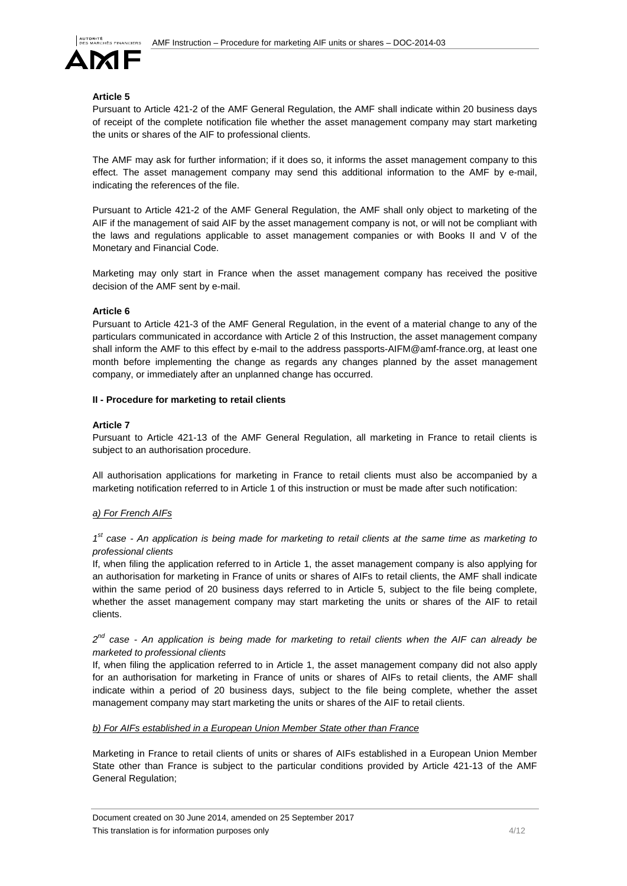

### **Article 5**

Pursuant to Article 421-2 of the AMF General Regulation, the AMF shall indicate within 20 business days of receipt of the complete notification file whether the asset management company may start marketing the units or shares of the AIF to professional clients.

The AMF may ask for further information; if it does so, it informs the asset management company to this effect. The asset management company may send this additional information to the AMF by e-mail, indicating the references of the file.

Pursuant to Article 421-2 of the AMF General Regulation, the AMF shall only object to marketing of the AIF if the management of said AIF by the asset management company is not, or will not be compliant with the laws and regulations applicable to asset management companies or with Books II and V of the Monetary and Financial Code.

Marketing may only start in France when the asset management company has received the positive decision of the AMF sent by e-mail.

### **Article 6**

Pursuant to Article 421-3 of the AMF General Regulation, in the event of a material change to any of the particulars communicated in accordance with Article 2 of this Instruction, the asset management company shall inform the AMF to this effect by e-mail to the address passports-AIFM@amf-france.org, at least one month before implementing the change as regards any changes planned by the asset management company, or immediately after an unplanned change has occurred.

### **II - Procedure for marketing to retail clients**

### **Article 7**

Pursuant to Article 421-13 of the AMF General Regulation, all marketing in France to retail clients is subject to an authorisation procedure.

All authorisation applications for marketing in France to retail clients must also be accompanied by a marketing notification referred to in Article 1 of this instruction or must be made after such notification:

### *a) For French AIFs*

*1st case - An application is being made for marketing to retail clients at the same time as marketing to professional clients* 

If, when filing the application referred to in Article 1, the asset management company is also applying for an authorisation for marketing in France of units or shares of AIFs to retail clients, the AMF shall indicate within the same period of 20 business days referred to in Article 5, subject to the file being complete, whether the asset management company may start marketing the units or shares of the AIF to retail clients.

*2nd case - An application is being made for marketing to retail clients when the AIF can already be marketed to professional clients* 

If, when filing the application referred to in Article 1, the asset management company did not also apply for an authorisation for marketing in France of units or shares of AIFs to retail clients, the AMF shall indicate within a period of 20 business days, subject to the file being complete, whether the asset management company may start marketing the units or shares of the AIF to retail clients.

### *b) For AIFs established in a European Union Member State other than France*

Marketing in France to retail clients of units or shares of AIFs established in a European Union Member State other than France is subject to the particular conditions provided by Article 421-13 of the AMF General Regulation;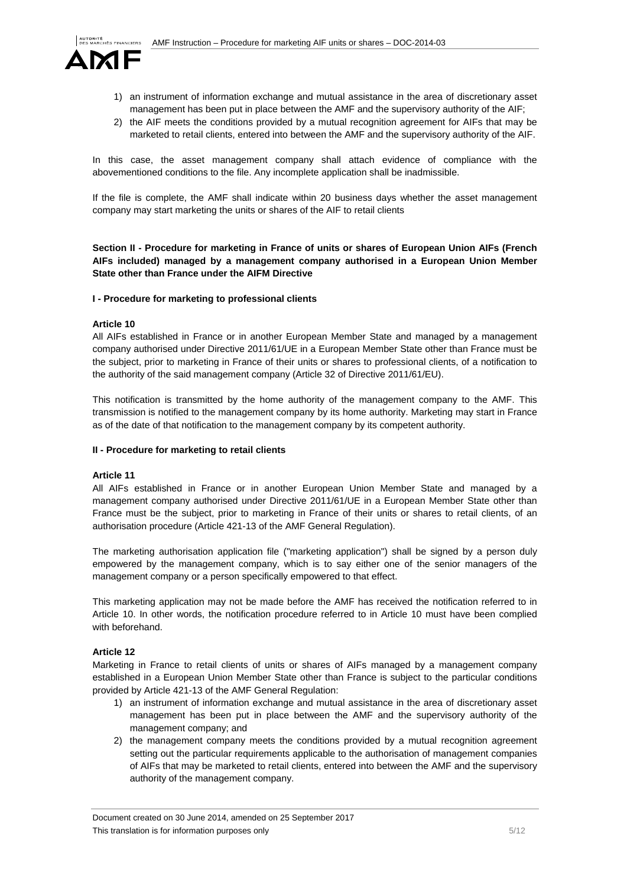

- 1) an instrument of information exchange and mutual assistance in the area of discretionary asset management has been put in place between the AMF and the supervisory authority of the AIF;
- 2) the AIF meets the conditions provided by a mutual recognition agreement for AIFs that may be marketed to retail clients, entered into between the AMF and the supervisory authority of the AIF.

In this case, the asset management company shall attach evidence of compliance with the abovementioned conditions to the file. Any incomplete application shall be inadmissible.

If the file is complete, the AMF shall indicate within 20 business days whether the asset management company may start marketing the units or shares of the AIF to retail clients

**Section II - Procedure for marketing in France of units or shares of European Union AIFs (French AIFs included) managed by a management company authorised in a European Union Member State other than France under the AIFM Directive** 

### **I - Procedure for marketing to professional clients**

#### **Article 10**

All AIFs established in France or in another European Member State and managed by a management company authorised under Directive 2011/61/UE in a European Member State other than France must be the subject, prior to marketing in France of their units or shares to professional clients, of a notification to the authority of the said management company (Article 32 of Directive 2011/61/EU).

This notification is transmitted by the home authority of the management company to the AMF. This transmission is notified to the management company by its home authority. Marketing may start in France as of the date of that notification to the management company by its competent authority.

### **II - Procedure for marketing to retail clients**

### **Article 11**

All AIFs established in France or in another European Union Member State and managed by a management company authorised under Directive 2011/61/UE in a European Member State other than France must be the subject, prior to marketing in France of their units or shares to retail clients, of an authorisation procedure (Article 421-13 of the AMF General Regulation).

The marketing authorisation application file ("marketing application") shall be signed by a person duly empowered by the management company, which is to say either one of the senior managers of the management company or a person specifically empowered to that effect.

This marketing application may not be made before the AMF has received the notification referred to in Article 10. In other words, the notification procedure referred to in Article 10 must have been complied with beforehand.

### **Article 12**

Marketing in France to retail clients of units or shares of AIFs managed by a management company established in a European Union Member State other than France is subject to the particular conditions provided by Article 421-13 of the AMF General Regulation:

- 1) an instrument of information exchange and mutual assistance in the area of discretionary asset management has been put in place between the AMF and the supervisory authority of the management company; and
- 2) the management company meets the conditions provided by a mutual recognition agreement setting out the particular requirements applicable to the authorisation of management companies of AIFs that may be marketed to retail clients, entered into between the AMF and the supervisory authority of the management company.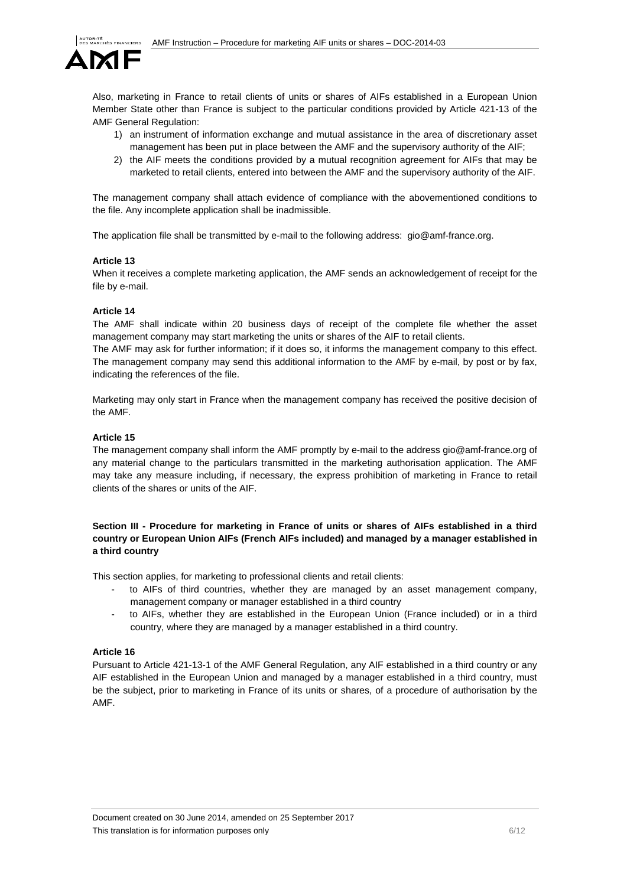

Also, marketing in France to retail clients of units or shares of AIFs established in a European Union Member State other than France is subject to the particular conditions provided by Article 421-13 of the AMF General Regulation:

- 1) an instrument of information exchange and mutual assistance in the area of discretionary asset management has been put in place between the AMF and the supervisory authority of the AIF;
- 2) the AIF meets the conditions provided by a mutual recognition agreement for AIFs that may be marketed to retail clients, entered into between the AMF and the supervisory authority of the AIF.

The management company shall attach evidence of compliance with the abovementioned conditions to the file. Any incomplete application shall be inadmissible.

The application file shall be transmitted by e-mail to the following address: gio@amf-france.org.

### **Article 13**

When it receives a complete marketing application, the AMF sends an acknowledgement of receipt for the file by e-mail.

### **Article 14**

The AMF shall indicate within 20 business days of receipt of the complete file whether the asset management company may start marketing the units or shares of the AIF to retail clients.

The AMF may ask for further information; if it does so, it informs the management company to this effect. The management company may send this additional information to the AMF by e-mail, by post or by fax, indicating the references of the file.

Marketing may only start in France when the management company has received the positive decision of the AMF.

## **Article 15**

The management company shall inform the AMF promptly by e-mail to the address gio@amf-france.org of any material change to the particulars transmitted in the marketing authorisation application. The AMF may take any measure including, if necessary, the express prohibition of marketing in France to retail clients of the shares or units of the AIF.

# **Section III - Procedure for marketing in France of units or shares of AIFs established in a third country or European Union AIFs (French AIFs included) and managed by a manager established in a third country**

This section applies, for marketing to professional clients and retail clients:

- to AIFs of third countries, whether they are managed by an asset management company, management company or manager established in a third country
- to AIFs, whether they are established in the European Union (France included) or in a third country, where they are managed by a manager established in a third country.

### **Article 16**

Pursuant to Article 421-13-1 of the AMF General Regulation, any AIF established in a third country or any AIF established in the European Union and managed by a manager established in a third country, must be the subject, prior to marketing in France of its units or shares, of a procedure of authorisation by the AMF.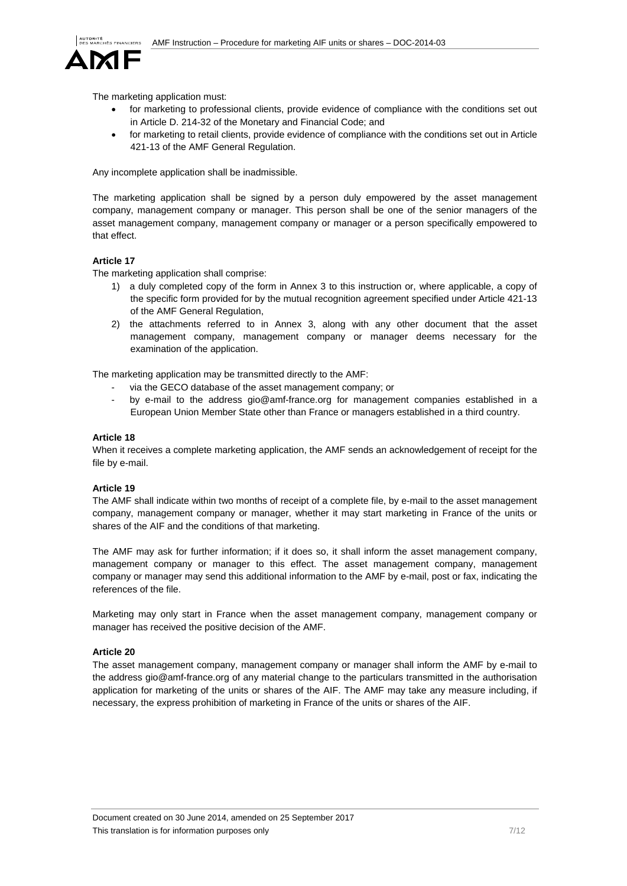

The marketing application must:

- for marketing to professional clients, provide evidence of compliance with the conditions set out in Article D. 214-32 of the Monetary and Financial Code; and
- for marketing to retail clients, provide evidence of compliance with the conditions set out in Article 421-13 of the AMF General Regulation.

Any incomplete application shall be inadmissible.

The marketing application shall be signed by a person duly empowered by the asset management company, management company or manager. This person shall be one of the senior managers of the asset management company, management company or manager or a person specifically empowered to that effect.

# **Article 17**

The marketing application shall comprise:

- 1) a duly completed copy of the form in Annex 3 to this instruction or, where applicable, a copy of the specific form provided for by the mutual recognition agreement specified under Article 421-13 of the AMF General Regulation,
- 2) the attachments referred to in Annex 3, along with any other document that the asset management company, management company or manager deems necessary for the examination of the application.

The marketing application may be transmitted directly to the AMF:

- via the GECO database of the asset management company; or
- by e-mail to the address gio@amf-france.org for management companies established in a European Union Member State other than France or managers established in a third country.

## **Article 18**

When it receives a complete marketing application, the AMF sends an acknowledgement of receipt for the file by e-mail.

### **Article 19**

The AMF shall indicate within two months of receipt of a complete file, by e-mail to the asset management company, management company or manager, whether it may start marketing in France of the units or shares of the AIF and the conditions of that marketing.

The AMF may ask for further information; if it does so, it shall inform the asset management company, management company or manager to this effect. The asset management company, management company or manager may send this additional information to the AMF by e-mail, post or fax, indicating the references of the file.

Marketing may only start in France when the asset management company, management company or manager has received the positive decision of the AMF.

# **Article 20**

The asset management company, management company or manager shall inform the AMF by e-mail to the address gio@amf-france.org of any material change to the particulars transmitted in the authorisation application for marketing of the units or shares of the AIF. The AMF may take any measure including, if necessary, the express prohibition of marketing in France of the units or shares of the AIF.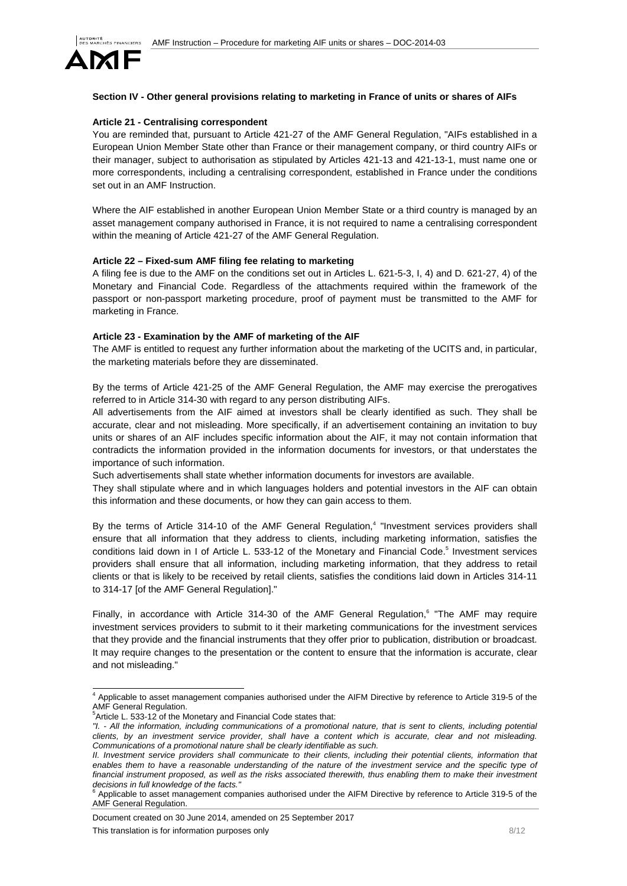

### **Section IV - Other general provisions relating to marketing in France of units or shares of AIFs**

#### **Article 21 - Centralising correspondent**

You are reminded that, pursuant to Article 421-27 of the AMF General Regulation, "AIFs established in a European Union Member State other than France or their management company, or third country AIFs or their manager, subject to authorisation as stipulated by Articles 421-13 and 421-13-1, must name one or more correspondents, including a centralising correspondent, established in France under the conditions set out in an AMF Instruction.

Where the AIF established in another European Union Member State or a third country is managed by an asset management company authorised in France, it is not required to name a centralising correspondent within the meaning of Article 421-27 of the AMF General Regulation.

## **Article 22 – Fixed-sum AMF filing fee relating to marketing**

A filing fee is due to the AMF on the conditions set out in Articles L. 621-5-3, I, 4) and D. 621-27, 4) of the Monetary and Financial Code. Regardless of the attachments required within the framework of the passport or non-passport marketing procedure, proof of payment must be transmitted to the AMF for marketing in France.

#### **Article 23 - Examination by the AMF of marketing of the AIF**

The AMF is entitled to request any further information about the marketing of the UCITS and, in particular, the marketing materials before they are disseminated.

By the terms of Article 421-25 of the AMF General Regulation, the AMF may exercise the prerogatives referred to in Article 314-30 with regard to any person distributing AIFs.

All advertisements from the AIF aimed at investors shall be clearly identified as such. They shall be accurate, clear and not misleading. More specifically, if an advertisement containing an invitation to buy units or shares of an AIF includes specific information about the AIF, it may not contain information that contradicts the information provided in the information documents for investors, or that understates the importance of such information.

Such advertisements shall state whether information documents for investors are available.

They shall stipulate where and in which languages holders and potential investors in the AIF can obtain this information and these documents, or how they can gain access to them.

By the terms of Article 314-10 of the AMF General Regulation,<sup>4</sup> "Investment services providers shall ensure that all information that they address to clients, including marketing information, satisfies the conditions laid down in I of Article L. 533-12 of the Monetary and Financial Code.<sup>5</sup> Investment services providers shall ensure that all information, including marketing information, that they address to retail clients or that is likely to be received by retail clients, satisfies the conditions laid down in Articles 314-11 to 314-17 [of the AMF General Regulation]."

Finally, in accordance with Article 314-30 of the AMF General Regulation,<sup>6</sup> "The AMF may require investment services providers to submit to it their marketing communications for the investment services that they provide and the financial instruments that they offer prior to publication, distribution or broadcast. It may require changes to the presentation or the content to ensure that the information is accurate, clear and not misleading."

Document created on 30 June 2014, amended on 25 September 2017 This translation is for information purposes only the state of the state of the state of the state of the state of the state of the state of the state of the state of the state of the state of the state of the state of the

 4 Applicable to asset management companies authorised under the AIFM Directive by reference to Article 319-5 of the AMF General Regulation.

<sup>5</sup> Article L. 533-12 of the Monetary and Financial Code states that:

*<sup>&</sup>quot;I. - All the information, including communications of a promotional nature, that is sent to clients, including potential clients, by an investment service provider, shall have a content which is accurate, clear and not misleading. Communications of a promotional nature shall be clearly identifiable as such.* 

*II. Investment service providers shall communicate to their clients, including their potential clients, information that*  enables them to have a reasonable understanding of the nature of the investment service and the specific type of financial instrument proposed, as well as the risks associated therewith, thus enabling them to make their investment

*decisions in full knowledge of the facts."* 6 Applicable to asset management companies authorised under the AIFM Directive by reference to Article 319-5 of the AMF General Regulation.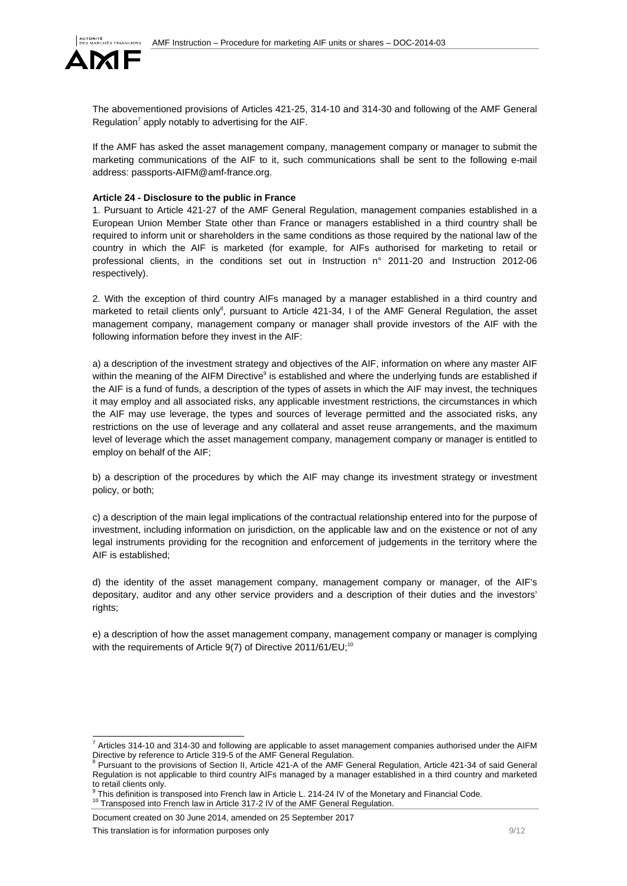

The abovementioned provisions of Articles 421-25, 314-10 and 314-30 and following of the AMF General Regulation<sup>7</sup> apply notably to advertising for the AIF.

If the AMF has asked the asset management company, management company or manager to submit the marketing communications of the AIF to it, such communications shall be sent to the following e-mail address: passports-AIFM@amf-france.org.

#### **Article 24 - Disclosure to the public in France**

1. Pursuant to Article 421-27 of the AMF General Regulation, management companies established in a European Union Member State other than France or managers established in a third country shall be required to inform unit or shareholders in the same conditions as those required by the national law of the country in which the AIF is marketed (for example, for AIFs authorised for marketing to retail or professional clients, in the conditions set out in Instruction n° 2011-20 and Instruction 2012-06 respectively).

2. With the exception of third country AIFs managed by a manager established in a third country and marketed to retail clients only<sup>8</sup>, pursuant to Article 421-34, I of the AMF General Regulation, the asset management company, management company or manager shall provide investors of the AIF with the following information before they invest in the AIF:

a) a description of the investment strategy and objectives of the AIF, information on where any master AIF within the meaning of the AIFM Directive<sup>9</sup> is established and where the underlying funds are established if the AIF is a fund of funds, a description of the types of assets in which the AIF may invest, the techniques it may employ and all associated risks, any applicable investment restrictions, the circumstances in which the AIF may use leverage, the types and sources of leverage permitted and the associated risks, any restrictions on the use of leverage and any collateral and asset reuse arrangements, and the maximum level of leverage which the asset management company, management company or manager is entitled to employ on behalf of the AIF;

b) a description of the procedures by which the AIF may change its investment strategy or investment policy, or both;

c) a description of the main legal implications of the contractual relationship entered into for the purpose of investment, including information on jurisdiction, on the applicable law and on the existence or not of any legal instruments providing for the recognition and enforcement of judgements in the territory where the AIF is established;

d) the identity of the asset management company, management company or manager, of the AIF's depositary, auditor and any other service providers and a description of their duties and the investors' rights;

e) a description of how the asset management company, management company or manager is complying with the requirements of Article 9(7) of Directive 2011/61/EU;<sup>10</sup>

Document created on 30 June 2014, amended on 25 September 2017 This translation is for information purposes only measured by the state of the state of 12

 7 Articles 314-10 and 314-30 and following are applicable to asset management companies authorised under the AIFM Directive by reference to Article 319-5 of the AMF General Regulation.

<sup>&</sup>lt;sup>8</sup> Pursuant to the provisions of Section II, Article 421-A of the AMF General Regulation, Article 421-34 of said General Regulation is not applicable to third country AIFs managed by a manager established in a third country and marketed to retail clients only.<br><sup>9</sup> Thie definition is tre

<sup>&</sup>lt;sup>9</sup> This definition is transposed into French law in Article L. 214-24 IV of the Monetary and Financial Code. <sup>10</sup> Transposed into French law in Article 317-2 IV of the AMF General Regulation.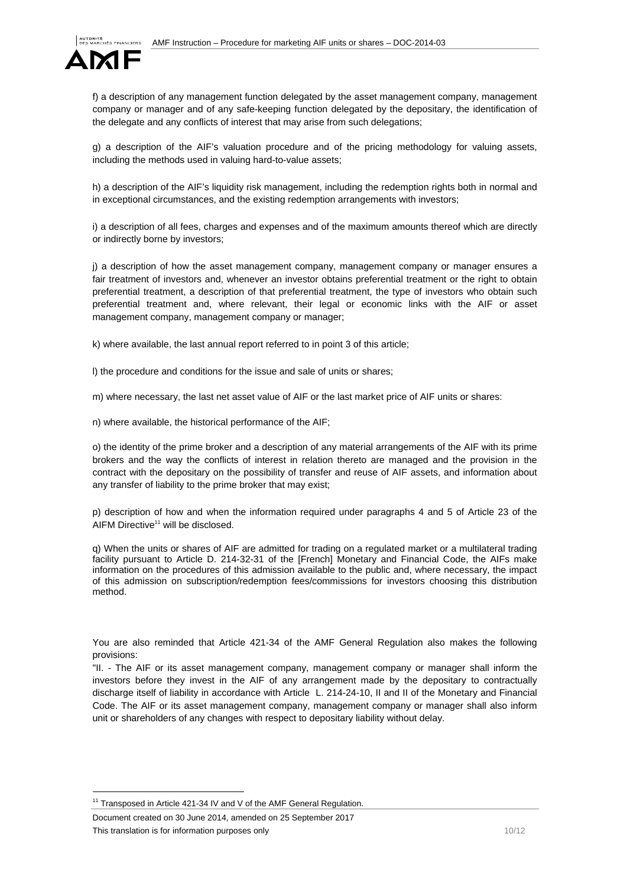

f) a description of any management function delegated by the asset management company, management company or manager and of any safe-keeping function delegated by the depositary, the identification of the delegate and any conflicts of interest that may arise from such delegations;

g) a description of the AIF's valuation procedure and of the pricing methodology for valuing assets, including the methods used in valuing hard-to-value assets;

h) a description of the AIF's liquidity risk management, including the redemption rights both in normal and in exceptional circumstances, and the existing redemption arrangements with investors;

i) a description of all fees, charges and expenses and of the maximum amounts thereof which are directly or indirectly borne by investors;

j) a description of how the asset management company, management company or manager ensures a fair treatment of investors and, whenever an investor obtains preferential treatment or the right to obtain preferential treatment, a description of that preferential treatment, the type of investors who obtain such preferential treatment and, where relevant, their legal or economic links with the AIF or asset management company, management company or manager;

k) where available, the last annual report referred to in point 3 of this article;

l) the procedure and conditions for the issue and sale of units or shares;

m) where necessary, the last net asset value of AIF or the last market price of AIF units or shares:

n) where available, the historical performance of the AIF;

o) the identity of the prime broker and a description of any material arrangements of the AIF with its prime brokers and the way the conflicts of interest in relation thereto are managed and the provision in the contract with the depositary on the possibility of transfer and reuse of AIF assets, and information about any transfer of liability to the prime broker that may exist;

p) description of how and when the information required under paragraphs 4 and 5 of Article 23 of the AIFM Directive<sup>11</sup> will be disclosed.

q) When the units or shares of AIF are admitted for trading on a regulated market or a multilateral trading facility pursuant to Article D. 214-32-31 of the [French] Monetary and Financial Code, the AIFs make information on the procedures of this admission available to the public and, where necessary, the impact of this admission on subscription/redemption fees/commissions for investors choosing this distribution method.

You are also reminded that Article 421-34 of the AMF General Regulation also makes the following provisions:

"II. - The AIF or its asset management company, management company or manager shall inform the investors before they invest in the AIF of any arrangement made by the depositary to contractually discharge itself of liability in accordance with Article L. 214-24-10, II and II of the Monetary and Financial Code. The AIF or its asset management company, management company or manager shall also inform unit or shareholders of any changes with respect to depositary liability without delay.

l

<sup>&</sup>lt;sup>11</sup> Transposed in Article 421-34 IV and V of the AMF General Regulation.

Document created on 30 June 2014, amended on 25 September 2017 This translation is for information purposes only 10/12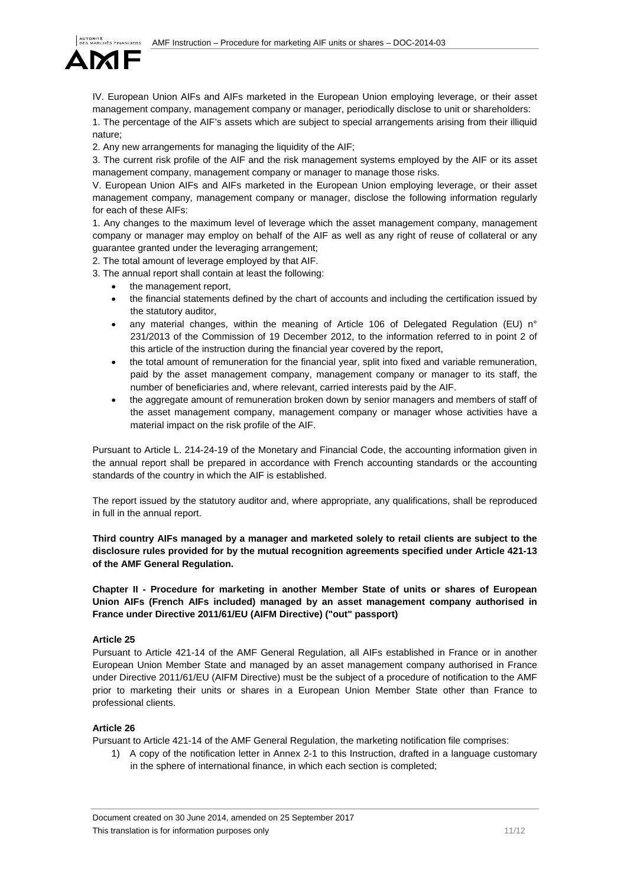

IV. European Union AIFs and AIFs marketed in the European Union employing leverage, or their asset management company, management company or manager, periodically disclose to unit or shareholders: 1. The percentage of the AIF's assets which are subject to special arrangements arising from their illiquid nature;

2. Any new arrangements for managing the liquidity of the AIF;

3. The current risk profile of the AIF and the risk management systems employed by the AIF or its asset management company, management company or manager to manage those risks.

V. European Union AIFs and AIFs marketed in the European Union employing leverage, or their asset management company, management company or manager, disclose the following information regularly for each of these AIFs:

1. Any changes to the maximum level of leverage which the asset management company, management company or manager may employ on behalf of the AIF as well as any right of reuse of collateral or any guarantee granted under the leveraging arrangement;

2. The total amount of leverage employed by that AIF.

3. The annual report shall contain at least the following:

- the management report,
- the financial statements defined by the chart of accounts and including the certification issued by the statutory auditor,
- any material changes, within the meaning of Article 106 of Delegated Regulation (EU) n° 231/2013 of the Commission of 19 December 2012, to the information referred to in point 2 of this article of the instruction during the financial year covered by the report,
- the total amount of remuneration for the financial year, split into fixed and variable remuneration, paid by the asset management company, management company or manager to its staff, the number of beneficiaries and, where relevant, carried interests paid by the AIF.
- the aggregate amount of remuneration broken down by senior managers and members of staff of the asset management company, management company or manager whose activities have a material impact on the risk profile of the AIF.

Pursuant to Article L. 214-24-19 of the Monetary and Financial Code, the accounting information given in the annual report shall be prepared in accordance with French accounting standards or the accounting standards of the country in which the AIF is established.

The report issued by the statutory auditor and, where appropriate, any qualifications, shall be reproduced in full in the annual report.

**Third country AIFs managed by a manager and marketed solely to retail clients are subject to the disclosure rules provided for by the mutual recognition agreements specified under Article 421-13 of the AMF General Regulation.** 

**Chapter II - Procedure for marketing in another Member State of units or shares of European Union AIFs (French AIFs included) managed by an asset management company authorised in France under Directive 2011/61/EU (AIFM Directive) ("out" passport)** 

### **Article 25**

Pursuant to Article 421-14 of the AMF General Regulation, all AIFs established in France or in another European Union Member State and managed by an asset management company authorised in France under Directive 2011/61/EU (AIFM Directive) must be the subject of a procedure of notification to the AMF prior to marketing their units or shares in a European Union Member State other than France to professional clients.

# **Article 26**

Pursuant to Article 421-14 of the AMF General Regulation, the marketing notification file comprises:

1) A copy of the notification letter in Annex 2-1 to this Instruction, drafted in a language customary in the sphere of international finance, in which each section is completed;